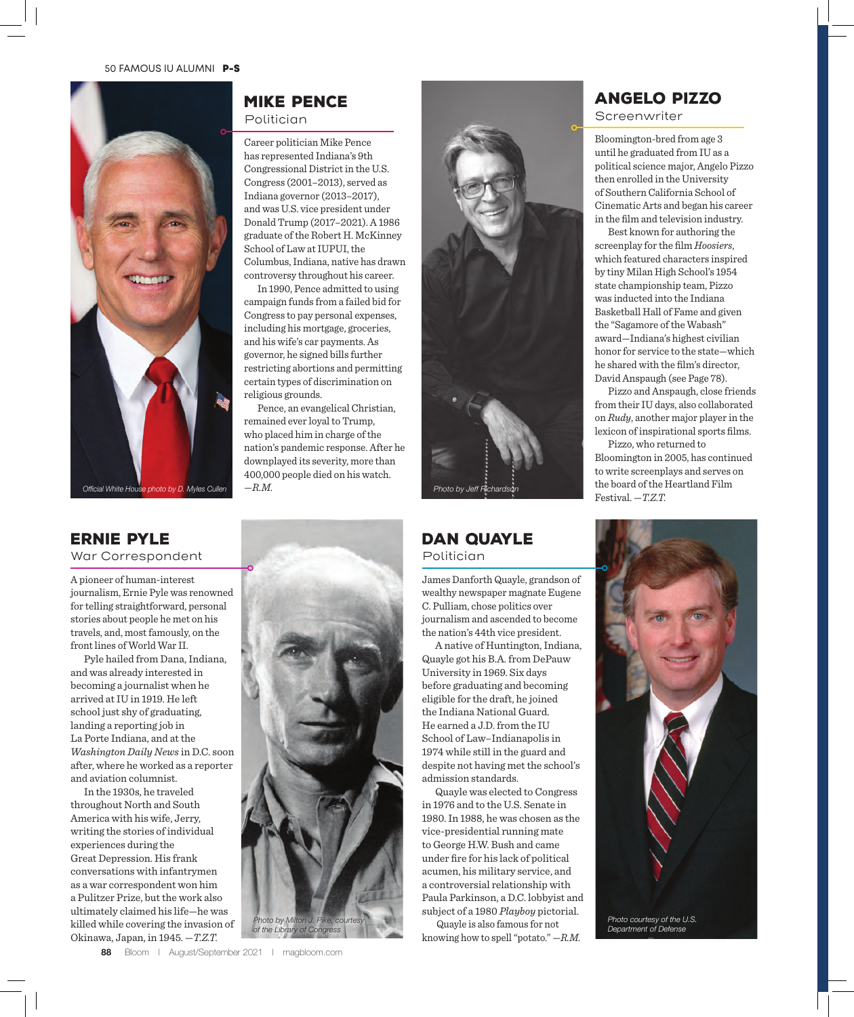

### Mike Pence Politician

Career politician Mike Pence has represented Indiana's 9th Congressional District in the U.S. Congress (2001–2013), served as Indiana governor (2013–2017), and was U.S. vice president under Donald Trump (2017–2021). A 1986 graduate of the Robert H. McKinney School of Law at IUPUI, the Columbus, Indiana, native has drawn controversy throughout his career.

In 1990, Pence admitted to using campaign funds from a failed bid for Congress to pay personal expenses, including his mortgage, groceries, and his wife's car payments. As governor, he signed bills further restricting abortions and permitting certain types of discrimination on religious grounds.

Pence, an evangelical Christian, remained ever loyal to Trump, who placed him in charge of the nation's pandemic response. After he downplayed its severity, more than 400,000 people died on his watch.



## DAN QUAYLE Politician

James Danforth Quayle, grandson of wealthy newspaper magnate Eugene C. Pulliam, chose politics over journalism and ascended to become the nation's 44th vice president.

A native of Huntington, Indiana, Quayle got his B.A. from DePauw University in 1969. Six days before graduating and becoming eligible for the draft, he joined the Indiana National Guard. He earned a J.D. from the IU School of Law–Indianapolis in 1974 while still in the guard and despite not having met the school's admission standards.

Quayle was elected to Congress in 1976 and to the U.S. Senate in 1980. In 1988, he was chosen as the vice-presidential running mate to George H.W. Bush and came under fire for his lack of political acumen, his military service, and a controversial relationship with Paula Parkinson, a D.C. lobbyist and subject of a 1980 *Playboy* pictorial.

Quayle is also famous for not knowing how to spell "potato." —*R.M.*

## Angelo Pizzo

Screenwriter

Bloomington-bred from age 3 until he graduated from IU as a political science major, Angelo Pizzo then enrolled in the University of Southern California School of Cinematic Arts and began his career in the film and television industry.

Best known for authoring the screenplay for the film *Hoosiers*, which featured characters inspired by tiny Milan High School's 1954 state championship team, Pizzo was inducted into the Indiana Basketball Hall of Fame and given the "Sagamore of the Wabash" award—Indiana's highest civilian honor for service to the state—which he shared with the film's director, David Anspaugh (see Page 78).

Pizzo and Anspaugh, close friends from their IU days, also collaborated on *Rudy*, another major player in the lexicon of inspirational sports films.

Pizzo, who returned to Bloomington in 2005, has continued to write screenplays and serves on the board of the Heartland Film Festival. —*T.Z.T.*



*Department of Defense*

# Ernie Pyle

#### War Correspondent

A pioneer of human-interest journalism, Ernie Pyle was renowned for telling straightforward, personal stories about people he met on his travels, and, most famously, on the front lines of World War II.

Pyle hailed from Dana, Indiana, and was already interested in becoming a journalist when he arrived at IU in 1919. He left school just shy of graduating, landing a reporting job in La Porte Indiana, and at the *Washington Daily News* in D.C. soon after, where he worked as a reporter and aviation columnist.

In the 1930s, he traveled throughout North and South America with his wife, Jerry, writing the stories of individual experiences during the Great Depression. His frank conversations with infantrymen as a war correspondent won him a Pulitzer Prize, but the work also ultimately claimed his life—he was killed while covering the invasion of Okinawa, Japan, in 1945. —*T.Z.T.*